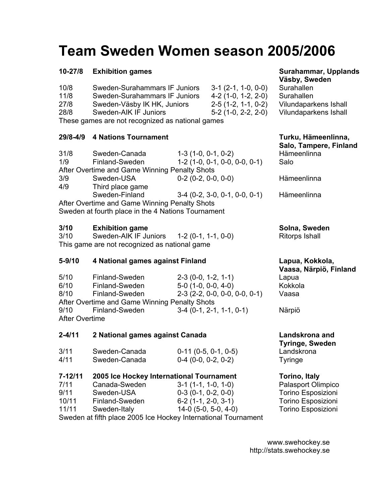# **Team Sweden Women season 2005/2006**

### **10-27/8 Exhibition games Surahammar, Upplands** Surahammar, Upplands

| 10/8                                             | Sweden-Surahammars IF Juniors | $3-1$ (2-1, 1-0, 0-0) | Surahallen  |
|--------------------------------------------------|-------------------------------|-----------------------|-------------|
| 11/8                                             | Sweden-Surahammars IF Juniors | $4-2(1-0, 1-2, 2-0)$  | Surahallen  |
| 27/8                                             | Sweden-Väsby IK HK, Juniors   | $2-5(1-2, 1-1, 0-2)$  | Vilundapark |
| 28/8                                             | Sweden-AIK IF Juniors         | $5-2$ (1-0, 2-2, 2-0) | Vilundapark |
| These games are not recognized as national games |                               |                       |             |

### **29/8-4/9 4 Nations Tournament Turku, Hämeenlinna,**

| 31/8                                          | Sweden-Canada                                 | $1-3(1-0, 0-1, 0-2)$            | Häm  |
|-----------------------------------------------|-----------------------------------------------|---------------------------------|------|
| 1/9                                           | Finland-Sweden                                | $1-2(1-0, 0-1, 0-0, 0-0, 0-1)$  | Salo |
|                                               | After Overtime and Game Winning Penalty Shots |                                 |      |
| 3/9                                           | Sweden-USA                                    | $0-2$ (0-2, 0-0, 0-0)           | Häm  |
| 4/9                                           | Third place game                              |                                 |      |
|                                               | Sweden-Finland                                | $3-4$ (0-2, 3-0, 0-1, 0-0, 0-1) | Häm  |
| After Overtime and Game Winning Penalty Shots |                                               |                                 |      |

Sweden at fourth place in the 4 Nations Tournament

### **3/10 Exhibition game Solna, Sweden Communication Solna, Sweden**

3/10 Sweden-AIK IF Juniors 1-2 (0-1, 1-1, 0-0) Ritorps Ishall This game are not recognized as national game

### **5-9/10 4 National games against Finland Lapua, Kokkola,**

| 5/10                                          | Finland-Sweden | $2-3(0-0, 1-2, 1-1)$                            | Lapua   |  |  |
|-----------------------------------------------|----------------|-------------------------------------------------|---------|--|--|
| 6/10                                          | Finland-Sweden | $5-0$ (1-0, 0-0, 4-0)                           | Kokkola |  |  |
| 8/10                                          | Finland-Sweden | $2-3$ ( $2-2$ , $0-0$ , $0-0$ , $0-0$ , $0-1$ ) | Vaasa   |  |  |
| After Overtime and Game Winning Penalty Shots |                |                                                 |         |  |  |
| 9/10                                          | Finland-Sweden | $3-4$ (0-1, 2-1, 1-1, 0-1)                      | Närpiö  |  |  |
| After Overtime                                |                |                                                 |         |  |  |

### **2-4/11 2 National games against Canada Landskrona and**

| 3/11 | Sweden-Canada | $0-11$ (0-5, 0-1, 0-5) | Landskr |
|------|---------------|------------------------|---------|
| 4/11 | Sweden-Canada | $0-4$ (0-0, 0-2, 0-2)  | Tyringe |

### **7-12/11 2005 Ice Hockey International Tournament Torino, Italy**

- 7/11 Canada-Sweden 3-1 (1-1, 1-0, 1-0) Palasport Olimpico 9/11 Sweden-USA 0-3 (0-1, 0-2, 0-0) Torino Esposizioni
- 10/11 Finland-Sweden 6-2 (1-1, 2-0, 3-1) Torino Esposizioni
- 11/11 Sweden-Italy 14-0 (5-0, 5-0, 4-0) Torino Esposizioni

**Väsby, Sweden**  Surahallen

- Vilundaparkens Ishall
- Vilundaparkens Ishall

## **Salo, Tampere, Finland**  Hämeenlinna

Hämeenlinna

Hämeenlinna

**Vaasa, Närpiö, Finland** 

**Tyringe, Sweden**  Landskrona

Sweden at fifth place 2005 Ice Hockey International Tournament

www.swehockey.se http://stats.swehockey.se